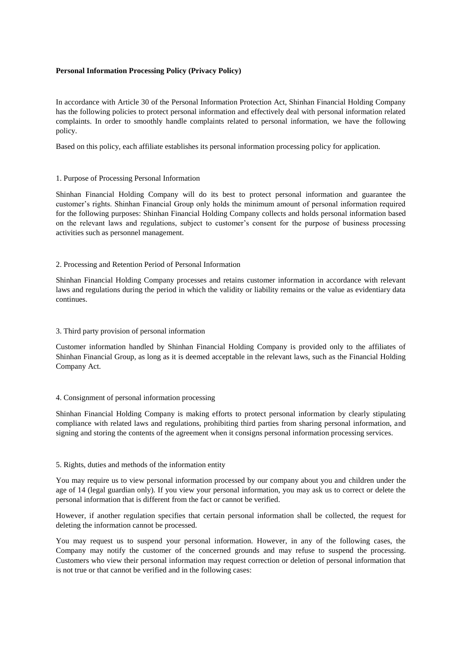## **Personal Information Processing Policy (Privacy Policy)**

In accordance with Article 30 of the Personal Information Protection Act, Shinhan Financial Holding Company has the following policies to protect personal information and effectively deal with personal information related complaints. In order to smoothly handle complaints related to personal information, we have the following policy.

Based on this policy, each affiliate establishes its personal information processing policy for application.

## 1. Purpose of Processing Personal Information

Shinhan Financial Holding Company will do its best to protect personal information and guarantee the customer's rights. Shinhan Financial Group only holds the minimum amount of personal information required for the following purposes: Shinhan Financial Holding Company collects and holds personal information based on the relevant laws and regulations, subject to customer's consent for the purpose of business processing activities such as personnel management.

## 2. Processing and Retention Period of Personal Information

Shinhan Financial Holding Company processes and retains customer information in accordance with relevant laws and regulations during the period in which the validity or liability remains or the value as evidentiary data continues.

# 3. Third party provision of personal information

Customer information handled by Shinhan Financial Holding Company is provided only to the affiliates of Shinhan Financial Group, as long as it is deemed acceptable in the relevant laws, such as the Financial Holding Company Act.

#### 4. Consignment of personal information processing

Shinhan Financial Holding Company is making efforts to protect personal information by clearly stipulating compliance with related laws and regulations, prohibiting third parties from sharing personal information, and signing and storing the contents of the agreement when it consigns personal information processing services.

#### 5. Rights, duties and methods of the information entity

You may require us to view personal information processed by our company about you and children under the age of 14 (legal guardian only). If you view your personal information, you may ask us to correct or delete the personal information that is different from the fact or cannot be verified.

However, if another regulation specifies that certain personal information shall be collected, the request for deleting the information cannot be processed.

You may request us to suspend your personal information. However, in any of the following cases, the Company may notify the customer of the concerned grounds and may refuse to suspend the processing. Customers who view their personal information may request correction or deletion of personal information that is not true or that cannot be verified and in the following cases: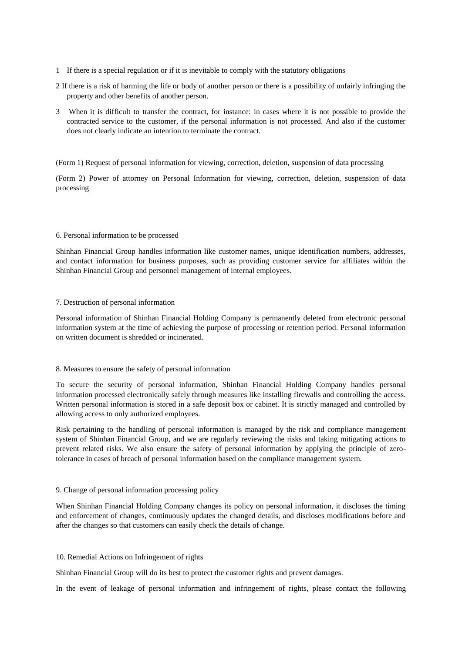- 1 If there is a special regulation or if it is inevitable to comply with the statutory obligations
- 2 If there is a risk of harming the life or body of another person or there is a possibility of unfairly infringing the property and other benefits of another person.
- 3 When it is difficult to transfer the contract, for instance: in cases where it is not possible to provide the contracted service to the customer, if the personal information is not processed. And also if the customer does not clearly indicate an intention to terminate the contract.

(Form 1) Request of personal information for viewing, correction, deletion, suspension of data processing

(Form 2) Power of attorney on Personal Information for viewing, correction, deletion, suspension of data processing

## 6. Personal information to be processed

Shinhan Financial Group handles information like customer names, unique identification numbers, addresses, and contact information for business purposes, such as providing customer service for affiliates within the Shinhan Financial Group and personnel management of internal employees.

## 7. Destruction of personal information

Personal information of Shinhan Financial Holding Company is permanently deleted from electronic personal information system at the time of achieving the purpose of processing or retention period. Personal information on written document is shredded or incinerated.

#### 8. Measures to ensure the safety of personal information

To secure the security of personal information, Shinhan Financial Holding Company handles personal information processed electronically safely through measures like installing firewalls and controlling the access. Written personal information is stored in a safe deposit box or cabinet. It is strictly managed and controlled by allowing access to only authorized employees.

Risk pertaining to the handling of personal information is managed by the risk and compliance management system of Shinhan Financial Group, and we are regularly reviewing the risks and taking mitigating actions to prevent related risks. We also ensure the safety of personal information by applying the principle of zerotolerance in cases of breach of personal information based on the compliance management system.

#### 9. Change of personal information processing policy

When Shinhan Financial Holding Company changes its policy on personal information, it discloses the timing and enforcement of changes, continuously updates the changed details, and discloses modifications before and after the changes so that customers can easily check the details of change.

# 10. Remedial Actions on Infringement of rights

Shinhan Financial Group will do its best to protect the customer rights and prevent damages.

In the event of leakage of personal information and infringement of rights, please contact the following